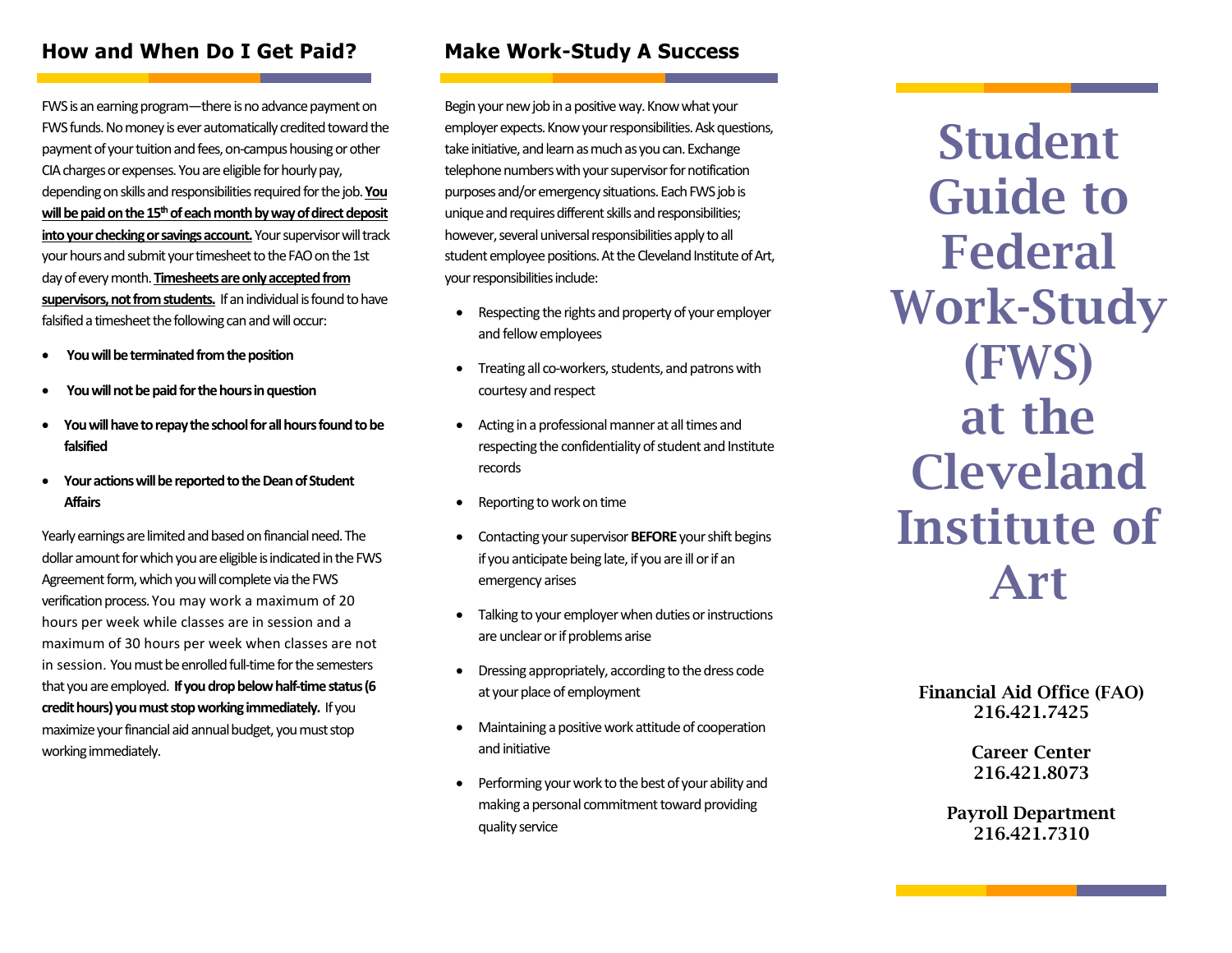#### **How and When Do I Get Paid?**

FWSis an earning program—there is no advance payment on FWS funds. No money is ever automatically credited toward the payment of your tuition and fees, on-campus housing or other CIA charges or expenses. Youare eligible for hourly pay, depending on skills and responsibilities required for the job. **You will be paid on the 15thof each month by way of direct deposit into your checking or savings account.**Your supervisor will track your hours and submit your timesheet to the FAO on the 1st day of every month. **Timesheets are only accepted from supervisors, not from students.** If an individual isfound to have falsified a timesheet the following can and will occur:

- You will be terminated from the position
- **You will not be paid for the hoursin question**
- **You will have to repay the school for all hours found to be falsified**
- **Your actions will be reported to the Dean of Student Affairs**

Yearly earnings are limited and based on financial need. The dollar amount for which you are eligible is indicated in the FWS Agreement form, which you will complete via the FWS verification process. You may work a maximum of 20 hours per week while classes are in session and a maximum of 30 hours per week when classes are not in session. You must be enrolled full-time for the semesters that you are employed. **If you drop below half-time status(6 credit hours)you must stopworkingimmediately.** If you maximize yourfinancial aid annual budget, you must stop working immediately.

### **Make Work-Study A Success**

Begin your new job in a positive way. Know what your employer expects. Know your responsibilities. Ask questions, take initiative, and learn as much as you can. Exchange telephone numbers with your supervisor for notification purposes and/or emergency situations. Each FWSjob is unique and requires different skills and responsibilities; however, several universal responsibilities apply to all student employee positions. At the Cleveland Institute of Art, your responsibilities include:

- Respecting the rights and property of your employer and fellow employees
- Treating all co-workers, students, and patrons with courtesy and respect
- Acting in a professional manner at all times and respecting the confidentiality of student and Institute records
- Reporting to work on time
- Contacting your supervisor **BEFORE** your shift begins if you anticipate being late, if you are ill or if an emergency arises
- Talking to your employer when duties or instructions are unclear or if problems arise
- Dressing appropriately, according to the dress code at your place of employment
- Maintaining a positive work attitude of cooperation and initiative
- Performing your work to the best of your ability and making a personal commitment toward providing quality service

Student Guide to Federal Work-Study (FWS) at the Cleveland Institute of Art

#### Financial Aid Office (FAO) 216.421.7425

Career Center 216.421.8073

Payroll Department 216.421.7310